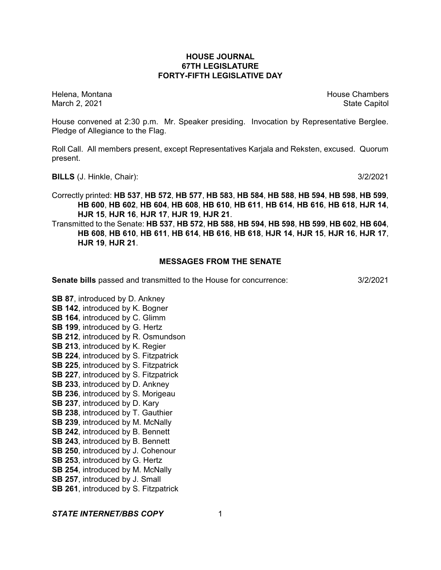# **HOUSE JOURNAL 67TH LEGISLATURE FORTY-FIFTH LEGISLATIVE DAY**

Helena, Montana House Chambers Chambers Chambers and House Chambers Chambers Chambers Chambers Chambers Chambers Chambers Chambers Chambers Chambers Chambers Chambers Chambers Chambers Chambers Chambers Chambers Chambers C March 2, 2021 **State Capitol** State Capitol State Capitol State Capitol State Capitol State Capitol State Capitol

House convened at 2:30 p.m. Mr. Speaker presiding. Invocation by Representative Berglee. Pledge of Allegiance to the Flag.

Roll Call. All members present, except Representatives Karjala and Reksten, excused. Quorum present.

**BILLS** (J. Hinkle, Chair): 3/2/2021

Correctly printed: **HB 537**, **HB 572**, **HB 577**, **HB 583**, **HB 584**, **HB 588**, **HB 594**, **HB 598**, **HB 599**, **HB 600**, **HB 602**, **HB 604**, **HB 608**, **HB 610**, **HB 611**, **HB 614**, **HB 616**, **HB 618**, **HJR 14**, **HJR 15**, **HJR 16**, **HJR 17**, **HJR 19**, **HJR 21**.

Transmitted to the Senate: **HB 537**, **HB 572**, **HB 588**, **HB 594**, **HB 598**, **HB 599**, **HB 602**, **HB 604**, **HB 608**, **HB 610**, **HB 611**, **HB 614**, **HB 616**, **HB 618**, **HJR 14**, **HJR 15**, **HJR 16**, **HJR 17**, **HJR 19**, **HJR 21**.

# **MESSAGES FROM THE SENATE**

**Senate bills** passed and transmitted to the House for concurrence: 3/2/2021

**SB 164**, introduced by C. Glimm **SB 199**, introduced by G. Hertz **SB 212**, introduced by R. Osmundson **SB 213**, introduced by K. Regier **SB 224**, introduced by S. Fitzpatrick **SB 225**, introduced by S. Fitzpatrick **SB 227, introduced by S. Fitzpatrick SB 233**, introduced by D. Ankney **SB 236**, introduced by S. Morigeau

**SB 87**, introduced by D. Ankney **SB 142**, introduced by K. Bogner

- 
- **SB 237**, introduced by D. Kary
- **SB 238**, introduced by T. Gauthier
- **SB 239**, introduced by M. McNally
- **SB 242**, introduced by B. Bennett
- **SB 243**, introduced by B. Bennett
- **SB 250**, introduced by J. Cohenour
- **SB 253**, introduced by G. Hertz
- **SB 254**, introduced by M. McNally
- **SB 257**, introduced by J. Small
- **SB 261**, introduced by S. Fitzpatrick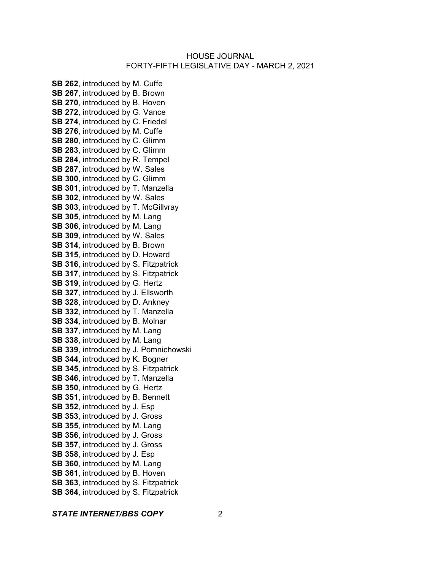**SB 262**, introduced by M. Cuffe **SB 267**, introduced by B. Brown **SB 270**, introduced by B. Hoven **SB 272**, introduced by G. Vance **SB 274**, introduced by C. Friedel **SB 276**, introduced by M. Cuffe **SB 280**, introduced by C. Glimm **SB 283**, introduced by C. Glimm **SB 284**, introduced by R. Tempel **SB 287**, introduced by W. Sales **SB 300**, introduced by C. Glimm **SB 301**, introduced by T. Manzella **SB 302**, introduced by W. Sales **SB 303.** introduced by T. McGillvray **SB 305**, introduced by M. Lang **SB 306**, introduced by M. Lang **SB 309**, introduced by W. Sales **SB 314**, introduced by B. Brown **SB 315**, introduced by D. Howard **SB 316**, introduced by S. Fitzpatrick **SB 317, introduced by S. Fitzpatrick SB 319**, introduced by G. Hertz **SB 327**, introduced by J. Ellsworth **SB 328**, introduced by D. Ankney **SB 332**, introduced by T. Manzella **SB 334**, introduced by B. Molnar **SB 337**, introduced by M. Lang **SB 338**, introduced by M. Lang **SB 339**, introduced by J. Pomnichowski **SB 344**, introduced by K. Bogner **SB 345**, introduced by S. Fitzpatrick **SB 346**, introduced by T. Manzella **SB 350**, introduced by G. Hertz **SB 351**, introduced by B. Bennett **SB 352**, introduced by J. Esp **SB 353**, introduced by J. Gross **SB 355**, introduced by M. Lang **SB 356**, introduced by J. Gross **SB 357**, introduced by J. Gross **SB 358**, introduced by J. Esp **SB 360**, introduced by M. Lang **SB 361**, introduced by B. Hoven **SB 363**, introduced by S. Fitzpatrick **SB 364**, introduced by S. Fitzpatrick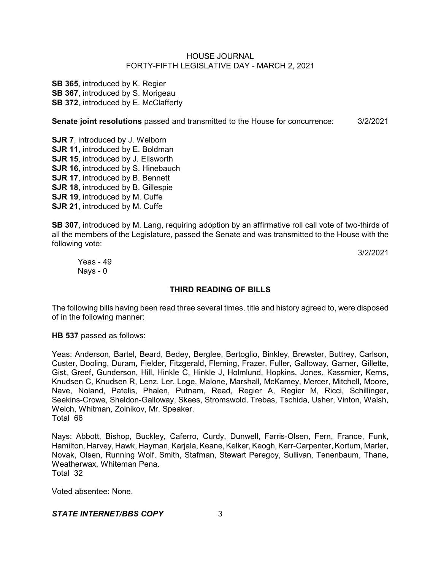**SB 365**, introduced by K. Regier **SB 367.** introduced by S. Morigeau **SB 372, introduced by E. McClafferty** 

**Senate joint resolutions** passed and transmitted to the House for concurrence: 3/2/2021

**SJR 7**, introduced by J. Welborn **SJR 11**, introduced by E. Boldman **SJR 15**, introduced by J. Ellsworth **SJR 16. introduced by S. Hinebauch SJR 17**, introduced by B. Bennett **SJR 18**, introduced by B. Gillespie **SJR 19**, introduced by M. Cuffe **SJR 21**, introduced by M. Cuffe

**SB 307**, introduced by M. Lang, requiring adoption by an affirmative roll call vote of two-thirds of all the members of the Legislature, passed the Senate and was transmitted to the House with the following vote:

3/2/2021

Yeas - 49 Nays - 0

# **THIRD READING OF BILLS**

The following bills having been read three several times, title and history agreed to, were disposed of in the following manner:

**HB 537** passed as follows:

Yeas: Anderson, Bartel, Beard, Bedey, Berglee, Bertoglio, Binkley, Brewster, Buttrey, Carlson, Custer, Dooling, Duram, Fielder, Fitzgerald, Fleming, Frazer, Fuller, Galloway, Garner, Gillette, Gist, Greef, Gunderson, Hill, Hinkle C, Hinkle J, Holmlund, Hopkins, Jones, Kassmier, Kerns, Knudsen C, Knudsen R, Lenz, Ler, Loge, Malone, Marshall, McKamey, Mercer, Mitchell, Moore, Nave, Noland, Patelis, Phalen, Putnam, Read, Regier A, Regier M, Ricci, Schillinger, Seekins-Crowe, Sheldon-Galloway, Skees, Stromswold, Trebas, Tschida, Usher, Vinton, Walsh, Welch, Whitman, Zolnikov, Mr. Speaker. Total 66

Nays: Abbott, Bishop, Buckley, Caferro, Curdy, Dunwell, Farris-Olsen, Fern, France, Funk, Hamilton, Harvey, Hawk, Hayman, Karjala, Keane, Kelker, Keogh, Kerr-Carpenter, Kortum, Marler, Novak, Olsen, Running Wolf, Smith, Stafman, Stewart Peregoy, Sullivan, Tenenbaum, Thane, Weatherwax, Whiteman Pena. Total 32

Voted absentee: None.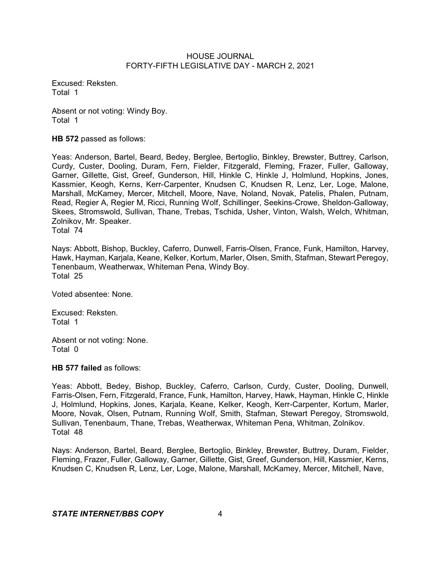Excused: Reksten. Total 1

Absent or not voting: Windy Boy. Total 1

**HB 572** passed as follows:

Yeas: Anderson, Bartel, Beard, Bedey, Berglee, Bertoglio, Binkley, Brewster, Buttrey, Carlson, Curdy, Custer, Dooling, Duram, Fern, Fielder, Fitzgerald, Fleming, Frazer, Fuller, Galloway, Garner, Gillette, Gist, Greef, Gunderson, Hill, Hinkle C, Hinkle J, Holmlund, Hopkins, Jones, Kassmier, Keogh, Kerns, Kerr-Carpenter, Knudsen C, Knudsen R, Lenz, Ler, Loge, Malone, Marshall, McKamey, Mercer, Mitchell, Moore, Nave, Noland, Novak, Patelis, Phalen, Putnam, Read, Regier A, Regier M, Ricci, Running Wolf, Schillinger, Seekins-Crowe, Sheldon-Galloway, Skees, Stromswold, Sullivan, Thane, Trebas, Tschida, Usher, Vinton, Walsh, Welch, Whitman, Zolnikov, Mr. Speaker.

Total 74

Nays: Abbott, Bishop, Buckley, Caferro, Dunwell, Farris-Olsen, France, Funk, Hamilton, Harvey, Hawk, Hayman, Karjala, Keane, Kelker, Kortum, Marler, Olsen, Smith, Stafman, Stewart Peregoy, Tenenbaum, Weatherwax, Whiteman Pena, Windy Boy. Total 25

Voted absentee: None.

Excused: Reksten. Total 1

Absent or not voting: None. Total 0

**HB 577 failed** as follows:

Yeas: Abbott, Bedey, Bishop, Buckley, Caferro, Carlson, Curdy, Custer, Dooling, Dunwell, Farris-Olsen, Fern, Fitzgerald, France, Funk, Hamilton, Harvey, Hawk, Hayman, Hinkle C, Hinkle J, Holmlund, Hopkins, Jones, Karjala, Keane, Kelker, Keogh, Kerr-Carpenter, Kortum, Marler, Moore, Novak, Olsen, Putnam, Running Wolf, Smith, Stafman, Stewart Peregoy, Stromswold, Sullivan, Tenenbaum, Thane, Trebas, Weatherwax, Whiteman Pena, Whitman, Zolnikov. Total 48

Nays: Anderson, Bartel, Beard, Berglee, Bertoglio, Binkley, Brewster, Buttrey, Duram, Fielder, Fleming, Frazer, Fuller, Galloway, Garner, Gillette, Gist, Greef, Gunderson, Hill, Kassmier, Kerns, Knudsen C, Knudsen R, Lenz, Ler, Loge, Malone, Marshall, McKamey, Mercer, Mitchell, Nave,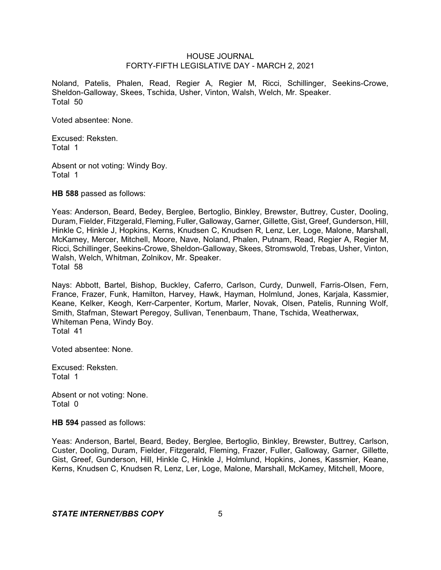Noland, Patelis, Phalen, Read, Regier A, Regier M, Ricci, Schillinger, Seekins-Crowe, Sheldon-Galloway, Skees, Tschida, Usher, Vinton, Walsh, Welch, Mr. Speaker. Total 50

Voted absentee: None.

Excused: Reksten. Total 1

Absent or not voting: Windy Boy. Total 1

**HB 588** passed as follows:

Yeas: Anderson, Beard, Bedey, Berglee, Bertoglio, Binkley, Brewster, Buttrey, Custer, Dooling, Duram, Fielder, Fitzgerald, Fleming, Fuller, Galloway, Garner, Gillette, Gist, Greef, Gunderson, Hill, Hinkle C, Hinkle J, Hopkins, Kerns, Knudsen C, Knudsen R, Lenz, Ler, Loge, Malone, Marshall, McKamey, Mercer, Mitchell, Moore, Nave, Noland, Phalen, Putnam, Read, Regier A, Regier M, Ricci, Schillinger, Seekins-Crowe, Sheldon-Galloway, Skees, Stromswold, Trebas, Usher, Vinton, Walsh, Welch, Whitman, Zolnikov, Mr. Speaker. Total 58

Nays: Abbott, Bartel, Bishop, Buckley, Caferro, Carlson, Curdy, Dunwell, Farris-Olsen, Fern, France, Frazer, Funk, Hamilton, Harvey, Hawk, Hayman, Holmlund, Jones, Karjala, Kassmier, Keane, Kelker, Keogh, Kerr-Carpenter, Kortum, Marler, Novak, Olsen, Patelis, Running Wolf, Smith, Stafman, Stewart Peregoy, Sullivan, Tenenbaum, Thane, Tschida, Weatherwax, Whiteman Pena, Windy Boy. Total 41

Voted absentee: None.

Excused: Reksten. Total 1

Absent or not voting: None. Total 0

**HB 594** passed as follows:

Yeas: Anderson, Bartel, Beard, Bedey, Berglee, Bertoglio, Binkley, Brewster, Buttrey, Carlson, Custer, Dooling, Duram, Fielder, Fitzgerald, Fleming, Frazer, Fuller, Galloway, Garner, Gillette, Gist, Greef, Gunderson, Hill, Hinkle C, Hinkle J, Holmlund, Hopkins, Jones, Kassmier, Keane, Kerns, Knudsen C, Knudsen R, Lenz, Ler, Loge, Malone, Marshall, McKamey, Mitchell, Moore,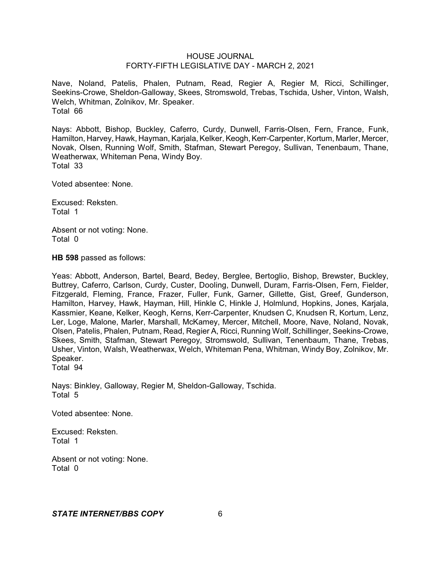Nave, Noland, Patelis, Phalen, Putnam, Read, Regier A, Regier M, Ricci, Schillinger, Seekins-Crowe, Sheldon-Galloway, Skees, Stromswold, Trebas, Tschida, Usher, Vinton, Walsh, Welch, Whitman, Zolnikov, Mr. Speaker. Total 66

Nays: Abbott, Bishop, Buckley, Caferro, Curdy, Dunwell, Farris-Olsen, Fern, France, Funk, Hamilton, Harvey, Hawk, Hayman, Karjala, Kelker, Keogh, Kerr-Carpenter, Kortum, Marler, Mercer, Novak, Olsen, Running Wolf, Smith, Stafman, Stewart Peregoy, Sullivan, Tenenbaum, Thane, Weatherwax, Whiteman Pena, Windy Boy. Total 33

Voted absentee: None.

Excused: Reksten. Total 1

Absent or not voting: None. Total 0

**HB 598** passed as follows:

Yeas: Abbott, Anderson, Bartel, Beard, Bedey, Berglee, Bertoglio, Bishop, Brewster, Buckley, Buttrey, Caferro, Carlson, Curdy, Custer, Dooling, Dunwell, Duram, Farris-Olsen, Fern, Fielder, Fitzgerald, Fleming, France, Frazer, Fuller, Funk, Garner, Gillette, Gist, Greef, Gunderson, Hamilton, Harvey, Hawk, Hayman, Hill, Hinkle C, Hinkle J, Holmlund, Hopkins, Jones, Karjala, Kassmier, Keane, Kelker, Keogh, Kerns, Kerr-Carpenter, Knudsen C, Knudsen R, Kortum, Lenz, Ler, Loge, Malone, Marler, Marshall, McKamey, Mercer, Mitchell, Moore, Nave, Noland, Novak, Olsen, Patelis, Phalen, Putnam, Read, Regier A, Ricci, Running Wolf, Schillinger, Seekins-Crowe, Skees, Smith, Stafman, Stewart Peregoy, Stromswold, Sullivan, Tenenbaum, Thane, Trebas, Usher, Vinton, Walsh, Weatherwax, Welch, Whiteman Pena, Whitman, Windy Boy, Zolnikov, Mr. Speaker. Total 94

Nays: Binkley, Galloway, Regier M, Sheldon-Galloway, Tschida. Total 5

Voted absentee: None.

Excused: Reksten. Total 1

Absent or not voting: None. Total 0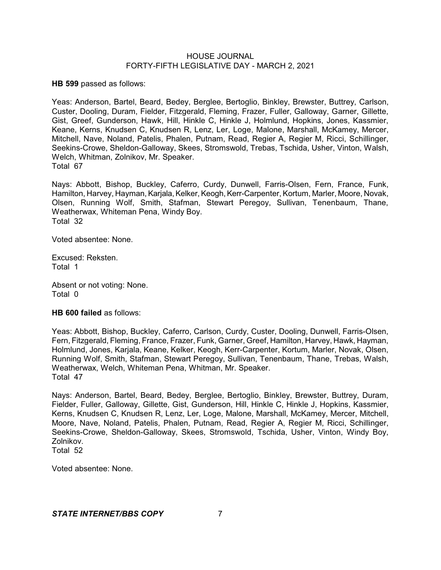**HB 599** passed as follows:

Yeas: Anderson, Bartel, Beard, Bedey, Berglee, Bertoglio, Binkley, Brewster, Buttrey, Carlson, Custer, Dooling, Duram, Fielder, Fitzgerald, Fleming, Frazer, Fuller, Galloway, Garner, Gillette, Gist, Greef, Gunderson, Hawk, Hill, Hinkle C, Hinkle J, Holmlund, Hopkins, Jones, Kassmier, Keane, Kerns, Knudsen C, Knudsen R, Lenz, Ler, Loge, Malone, Marshall, McKamey, Mercer, Mitchell, Nave, Noland, Patelis, Phalen, Putnam, Read, Regier A, Regier M, Ricci, Schillinger, Seekins-Crowe, Sheldon-Galloway, Skees, Stromswold, Trebas, Tschida, Usher, Vinton, Walsh, Welch, Whitman, Zolnikov, Mr. Speaker. Total 67

Nays: Abbott, Bishop, Buckley, Caferro, Curdy, Dunwell, Farris-Olsen, Fern, France, Funk, Hamilton, Harvey, Hayman, Karjala, Kelker, Keogh, Kerr-Carpenter, Kortum, Marler, Moore, Novak, Olsen, Running Wolf, Smith, Stafman, Stewart Peregoy, Sullivan, Tenenbaum, Thane, Weatherwax, Whiteman Pena, Windy Boy. Total 32

Voted absentee: None.

Excused: Reksten. Total 1

Absent or not voting: None. Total 0

**HB 600 failed** as follows:

Yeas: Abbott, Bishop, Buckley, Caferro, Carlson, Curdy, Custer, Dooling, Dunwell, Farris-Olsen, Fern, Fitzgerald, Fleming, France, Frazer, Funk, Garner, Greef, Hamilton, Harvey, Hawk, Hayman, Holmlund, Jones, Karjala, Keane, Kelker, Keogh, Kerr-Carpenter, Kortum, Marler, Novak, Olsen, Running Wolf, Smith, Stafman, Stewart Peregoy, Sullivan, Tenenbaum, Thane, Trebas, Walsh, Weatherwax, Welch, Whiteman Pena, Whitman, Mr. Speaker. Total 47

Nays: Anderson, Bartel, Beard, Bedey, Berglee, Bertoglio, Binkley, Brewster, Buttrey, Duram, Fielder, Fuller, Galloway, Gillette, Gist, Gunderson, Hill, Hinkle C, Hinkle J, Hopkins, Kassmier, Kerns, Knudsen C, Knudsen R, Lenz, Ler, Loge, Malone, Marshall, McKamey, Mercer, Mitchell, Moore, Nave, Noland, Patelis, Phalen, Putnam, Read, Regier A, Regier M, Ricci, Schillinger, Seekins-Crowe, Sheldon-Galloway, Skees, Stromswold, Tschida, Usher, Vinton, Windy Boy, Zolnikov. Total 52

Voted absentee: None.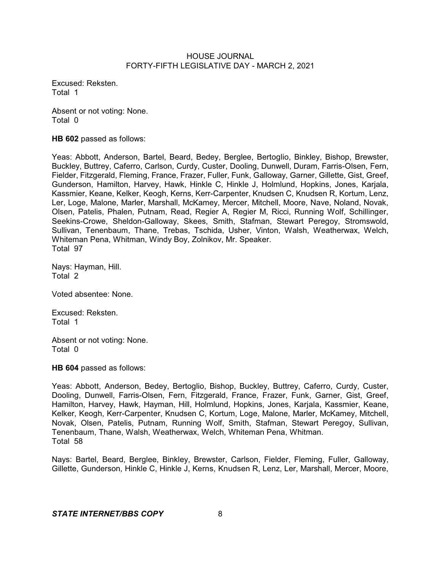Excused: Reksten. Total 1

Absent or not voting: None. Total 0

**HB 602** passed as follows:

Yeas: Abbott, Anderson, Bartel, Beard, Bedey, Berglee, Bertoglio, Binkley, Bishop, Brewster, Buckley, Buttrey, Caferro, Carlson, Curdy, Custer, Dooling, Dunwell, Duram, Farris-Olsen, Fern, Fielder, Fitzgerald, Fleming, France, Frazer, Fuller, Funk, Galloway, Garner, Gillette, Gist, Greef, Gunderson, Hamilton, Harvey, Hawk, Hinkle C, Hinkle J, Holmlund, Hopkins, Jones, Karjala, Kassmier, Keane, Kelker, Keogh, Kerns, Kerr-Carpenter, Knudsen C, Knudsen R, Kortum, Lenz, Ler, Loge, Malone, Marler, Marshall, McKamey, Mercer, Mitchell, Moore, Nave, Noland, Novak, Olsen, Patelis, Phalen, Putnam, Read, Regier A, Regier M, Ricci, Running Wolf, Schillinger, Seekins-Crowe, Sheldon-Galloway, Skees, Smith, Stafman, Stewart Peregoy, Stromswold, Sullivan, Tenenbaum, Thane, Trebas, Tschida, Usher, Vinton, Walsh, Weatherwax, Welch, Whiteman Pena, Whitman, Windy Boy, Zolnikov, Mr. Speaker. Total 97

Nays: Hayman, Hill. Total 2

Voted absentee: None.

Excused: Reksten. Total 1

Absent or not voting: None. Total 0

**HB 604** passed as follows:

Yeas: Abbott, Anderson, Bedey, Bertoglio, Bishop, Buckley, Buttrey, Caferro, Curdy, Custer, Dooling, Dunwell, Farris-Olsen, Fern, Fitzgerald, France, Frazer, Funk, Garner, Gist, Greef, Hamilton, Harvey, Hawk, Hayman, Hill, Holmlund, Hopkins, Jones, Karjala, Kassmier, Keane, Kelker, Keogh, Kerr-Carpenter, Knudsen C, Kortum, Loge, Malone, Marler, McKamey, Mitchell, Novak, Olsen, Patelis, Putnam, Running Wolf, Smith, Stafman, Stewart Peregoy, Sullivan, Tenenbaum, Thane, Walsh, Weatherwax, Welch, Whiteman Pena, Whitman. Total 58

Nays: Bartel, Beard, Berglee, Binkley, Brewster, Carlson, Fielder, Fleming, Fuller, Galloway, Gillette, Gunderson, Hinkle C, Hinkle J, Kerns, Knudsen R, Lenz, Ler, Marshall, Mercer, Moore,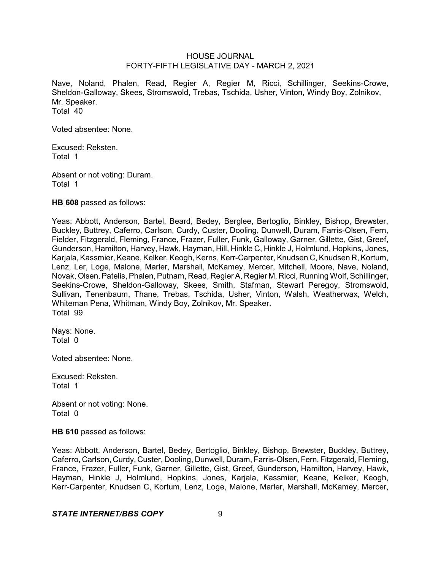Nave, Noland, Phalen, Read, Regier A, Regier M, Ricci, Schillinger, Seekins-Crowe, Sheldon-Galloway, Skees, Stromswold, Trebas, Tschida, Usher, Vinton, Windy Boy, Zolnikov, Mr. Speaker. Total 40

Voted absentee: None.

Excused: Reksten. Total 1

Absent or not voting: Duram. Total 1

**HB 608** passed as follows:

Yeas: Abbott, Anderson, Bartel, Beard, Bedey, Berglee, Bertoglio, Binkley, Bishop, Brewster, Buckley, Buttrey, Caferro, Carlson, Curdy, Custer, Dooling, Dunwell, Duram, Farris-Olsen, Fern, Fielder, Fitzgerald, Fleming, France, Frazer, Fuller, Funk, Galloway, Garner, Gillette, Gist, Greef, Gunderson, Hamilton, Harvey, Hawk, Hayman, Hill, Hinkle C, Hinkle J, Holmlund, Hopkins, Jones, Karjala, Kassmier, Keane, Kelker, Keogh, Kerns, Kerr-Carpenter, Knudsen C, Knudsen R, Kortum, Lenz, Ler, Loge, Malone, Marler, Marshall, McKamey, Mercer, Mitchell, Moore, Nave, Noland, Novak, Olsen,Patelis, Phalen, Putnam, Read, RegierA, Regier M, Ricci, Running Wolf, Schillinger, Seekins-Crowe, Sheldon-Galloway, Skees, Smith, Stafman, Stewart Peregoy, Stromswold, Sullivan, Tenenbaum, Thane, Trebas, Tschida, Usher, Vinton, Walsh, Weatherwax, Welch, Whiteman Pena, Whitman, Windy Boy, Zolnikov, Mr. Speaker. Total 99

Nays: None. Total 0

Voted absentee: None.

Excused: Reksten. Total 1

Absent or not voting: None. Total 0

**HB 610** passed as follows:

Yeas: Abbott, Anderson, Bartel, Bedey, Bertoglio, Binkley, Bishop, Brewster, Buckley, Buttrey, Caferro, Carlson, Curdy, Custer, Dooling, Dunwell, Duram, Farris-Olsen, Fern, Fitzgerald, Fleming, France, Frazer, Fuller, Funk, Garner, Gillette, Gist, Greef, Gunderson, Hamilton, Harvey, Hawk, Hayman, Hinkle J, Holmlund, Hopkins, Jones, Karjala, Kassmier, Keane, Kelker, Keogh, Kerr-Carpenter, Knudsen C, Kortum, Lenz, Loge, Malone, Marler, Marshall, McKamey, Mercer,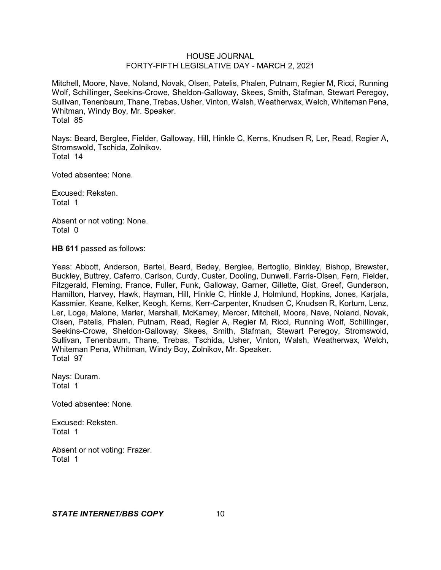Mitchell, Moore, Nave, Noland, Novak, Olsen, Patelis, Phalen, Putnam, Regier M, Ricci, Running Wolf, Schillinger, Seekins-Crowe, Sheldon-Galloway, Skees, Smith, Stafman, Stewart Peregoy, Sullivan, Tenenbaum, Thane, Trebas, Usher, Vinton, Walsh, Weatherwax, Welch, Whiteman Pena, Whitman, Windy Boy, Mr. Speaker. Total 85

Nays: Beard, Berglee, Fielder, Galloway, Hill, Hinkle C, Kerns, Knudsen R, Ler, Read, Regier A, Stromswold, Tschida, Zolnikov. Total 14

Voted absentee: None.

Excused: Reksten. Total 1

Absent or not voting: None. Total 0

**HB 611** passed as follows:

Yeas: Abbott, Anderson, Bartel, Beard, Bedey, Berglee, Bertoglio, Binkley, Bishop, Brewster, Buckley, Buttrey, Caferro, Carlson, Curdy, Custer, Dooling, Dunwell, Farris-Olsen, Fern, Fielder, Fitzgerald, Fleming, France, Fuller, Funk, Galloway, Garner, Gillette, Gist, Greef, Gunderson, Hamilton, Harvey, Hawk, Hayman, Hill, Hinkle C, Hinkle J, Holmlund, Hopkins, Jones, Karjala, Kassmier, Keane, Kelker, Keogh, Kerns, Kerr-Carpenter, Knudsen C, Knudsen R, Kortum, Lenz, Ler, Loge, Malone, Marler, Marshall, McKamey, Mercer, Mitchell, Moore, Nave, Noland, Novak, Olsen, Patelis, Phalen, Putnam, Read, Regier A, Regier M, Ricci, Running Wolf, Schillinger, Seekins-Crowe, Sheldon-Galloway, Skees, Smith, Stafman, Stewart Peregoy, Stromswold, Sullivan, Tenenbaum, Thane, Trebas, Tschida, Usher, Vinton, Walsh, Weatherwax, Welch, Whiteman Pena, Whitman, Windy Boy, Zolnikov, Mr. Speaker. Total 97

Nays: Duram. Total 1

Voted absentee: None.

Excused: Reksten. Total 1

Absent or not voting: Frazer. Total 1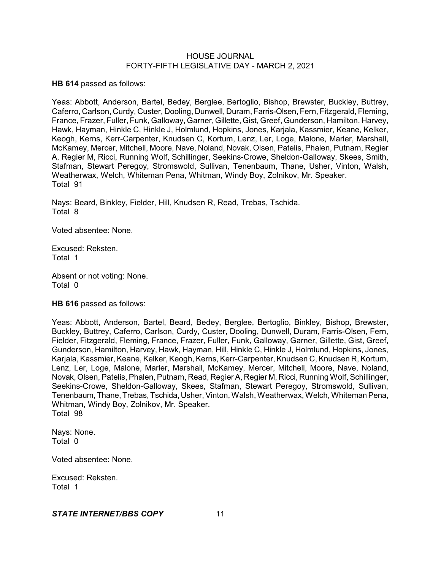**HB 614** passed as follows:

Yeas: Abbott, Anderson, Bartel, Bedey, Berglee, Bertoglio, Bishop, Brewster, Buckley, Buttrey, Caferro, Carlson, Curdy, Custer, Dooling, Dunwell, Duram, Farris-Olsen, Fern, Fitzgerald, Fleming, France, Frazer, Fuller, Funk, Galloway, Garner,Gillette, Gist, Greef, Gunderson, Hamilton, Harvey, Hawk, Hayman, Hinkle C, Hinkle J, Holmlund, Hopkins, Jones, Karjala, Kassmier, Keane, Kelker, Keogh, Kerns, Kerr-Carpenter, Knudsen C, Kortum, Lenz, Ler, Loge, Malone, Marler, Marshall, McKamey, Mercer, Mitchell, Moore, Nave, Noland, Novak, Olsen, Patelis, Phalen, Putnam, Regier A, Regier M, Ricci, Running Wolf, Schillinger, Seekins-Crowe, Sheldon-Galloway, Skees, Smith, Stafman, Stewart Peregoy, Stromswold, Sullivan, Tenenbaum, Thane, Usher, Vinton, Walsh, Weatherwax, Welch, Whiteman Pena, Whitman, Windy Boy, Zolnikov, Mr. Speaker. Total 91

Nays: Beard, Binkley, Fielder, Hill, Knudsen R, Read, Trebas, Tschida. Total 8

Voted absentee: None.

Excused: Reksten. Total 1

Absent or not voting: None. Total 0

**HB 616** passed as follows:

Yeas: Abbott, Anderson, Bartel, Beard, Bedey, Berglee, Bertoglio, Binkley, Bishop, Brewster, Buckley, Buttrey, Caferro, Carlson, Curdy, Custer, Dooling, Dunwell, Duram, Farris-Olsen, Fern, Fielder, Fitzgerald, Fleming, France, Frazer, Fuller, Funk, Galloway, Garner, Gillette, Gist, Greef, Gunderson, Hamilton, Harvey, Hawk, Hayman, Hill, Hinkle C, Hinkle J, Holmlund, Hopkins, Jones, Karjala, Kassmier, Keane, Kelker, Keogh, Kerns, Kerr-Carpenter, Knudsen C, Knudsen R, Kortum, Lenz, Ler, Loge, Malone, Marler, Marshall, McKamey, Mercer, Mitchell, Moore, Nave, Noland, Novak, Olsen, Patelis, Phalen, Putnam, Read, RegierA, Regier M, Ricci, Running Wolf, Schillinger, Seekins-Crowe, Sheldon-Galloway, Skees, Stafman, Stewart Peregoy, Stromswold, Sullivan, Tenenbaum, Thane, Trebas, Tschida, Usher, Vinton, Walsh, Weatherwax, Welch, WhitemanPena, Whitman, Windy Boy, Zolnikov, Mr. Speaker. Total 98

Nays: None. Total 0

Voted absentee: None.

Excused: Reksten. Total 1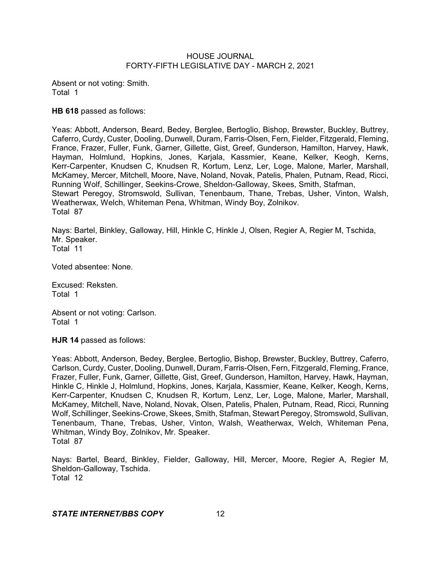Absent or not voting: Smith. Total 1

**HB 618** passed as follows:

Yeas: Abbott, Anderson, Beard, Bedey, Berglee, Bertoglio, Bishop, Brewster, Buckley, Buttrey, Caferro, Curdy, Custer, Dooling, Dunwell, Duram, Farris-Olsen, Fern, Fielder, Fitzgerald, Fleming, France, Frazer, Fuller, Funk, Garner, Gillette, Gist, Greef, Gunderson, Hamilton, Harvey, Hawk, Hayman, Holmlund, Hopkins, Jones, Karjala, Kassmier, Keane, Kelker, Keogh, Kerns, Kerr-Carpenter, Knudsen C, Knudsen R, Kortum, Lenz, Ler, Loge, Malone, Marler, Marshall, McKamey, Mercer, Mitchell, Moore, Nave, Noland, Novak, Patelis, Phalen, Putnam, Read, Ricci, Running Wolf, Schillinger, Seekins-Crowe, Sheldon-Galloway, Skees, Smith, Stafman, Stewart Peregoy, Stromswold, Sullivan, Tenenbaum, Thane, Trebas, Usher, Vinton, Walsh, Weatherwax, Welch, Whiteman Pena, Whitman, Windy Boy, Zolnikov. Total 87

Nays: Bartel, Binkley, Galloway, Hill, Hinkle C, Hinkle J, Olsen, Regier A, Regier M, Tschida, Mr. Speaker. Total 11

Voted absentee: None.

Excused: Reksten. Total 1

Absent or not voting: Carlson. Total 1

**HJR 14** passed as follows:

Yeas: Abbott, Anderson, Bedey, Berglee, Bertoglio, Bishop, Brewster, Buckley, Buttrey, Caferro, Carlson, Curdy, Custer, Dooling, Dunwell, Duram, Farris-Olsen, Fern, Fitzgerald, Fleming, France, Frazer, Fuller, Funk, Garner, Gillette, Gist, Greef, Gunderson, Hamilton, Harvey, Hawk, Hayman, Hinkle C, Hinkle J, Holmlund, Hopkins, Jones, Karjala, Kassmier, Keane, Kelker, Keogh, Kerns, Kerr-Carpenter, Knudsen C, Knudsen R, Kortum, Lenz, Ler, Loge, Malone, Marler, Marshall, McKamey, Mitchell, Nave, Noland, Novak, Olsen, Patelis, Phalen, Putnam, Read, Ricci, Running Wolf, Schillinger, Seekins-Crowe, Skees, Smith, Stafman, Stewart Peregoy, Stromswold, Sullivan, Tenenbaum, Thane, Trebas, Usher, Vinton, Walsh, Weatherwax, Welch, Whiteman Pena, Whitman, Windy Boy, Zolnikov, Mr. Speaker. Total 87

Nays: Bartel, Beard, Binkley, Fielder, Galloway, Hill, Mercer, Moore, Regier A, Regier M, Sheldon-Galloway, Tschida. Total 12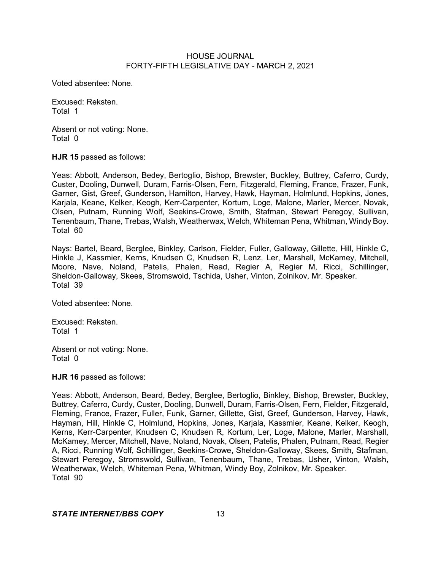Voted absentee: None.

Excused: Reksten. Total 1

Absent or not voting: None. Total 0

**HJR 15** passed as follows:

Yeas: Abbott, Anderson, Bedey, Bertoglio, Bishop, Brewster, Buckley, Buttrey, Caferro, Curdy, Custer, Dooling, Dunwell, Duram, Farris-Olsen, Fern, Fitzgerald, Fleming, France, Frazer, Funk, Garner, Gist, Greef, Gunderson, Hamilton, Harvey, Hawk, Hayman, Holmlund, Hopkins, Jones, Karjala, Keane, Kelker, Keogh, Kerr-Carpenter, Kortum, Loge, Malone, Marler, Mercer, Novak, Olsen, Putnam, Running Wolf, Seekins-Crowe, Smith, Stafman, Stewart Peregoy, Sullivan, Tenenbaum, Thane, Trebas, Walsh, Weatherwax, Welch, Whiteman Pena, Whitman, Windy Boy. Total 60

Nays: Bartel, Beard, Berglee, Binkley, Carlson, Fielder, Fuller, Galloway, Gillette, Hill, Hinkle C, Hinkle J, Kassmier, Kerns, Knudsen C, Knudsen R, Lenz, Ler, Marshall, McKamey, Mitchell, Moore, Nave, Noland, Patelis, Phalen, Read, Regier A, Regier M, Ricci, Schillinger, Sheldon-Galloway, Skees, Stromswold, Tschida, Usher, Vinton, Zolnikov, Mr. Speaker. Total 39

Voted absentee: None.

Excused: Reksten. Total 1

Absent or not voting: None. Total 0

**HJR 16** passed as follows:

Yeas: Abbott, Anderson, Beard, Bedey, Berglee, Bertoglio, Binkley, Bishop, Brewster, Buckley, Buttrey, Caferro, Curdy, Custer, Dooling, Dunwell, Duram, Farris-Olsen, Fern, Fielder, Fitzgerald, Fleming, France, Frazer, Fuller, Funk, Garner, Gillette, Gist, Greef, Gunderson, Harvey, Hawk, Hayman, Hill, Hinkle C, Holmlund, Hopkins, Jones, Karjala, Kassmier, Keane, Kelker, Keogh, Kerns, Kerr-Carpenter, Knudsen C, Knudsen R, Kortum, Ler, Loge, Malone, Marler, Marshall, McKamey, Mercer, Mitchell, Nave, Noland, Novak, Olsen, Patelis, Phalen, Putnam, Read, Regier A, Ricci, Running Wolf, Schillinger, Seekins-Crowe, Sheldon-Galloway, Skees, Smith, Stafman, Stewart Peregoy, Stromswold, Sullivan, Tenenbaum, Thane, Trebas, Usher, Vinton, Walsh, Weatherwax, Welch, Whiteman Pena, Whitman, Windy Boy, Zolnikov, Mr. Speaker. Total 90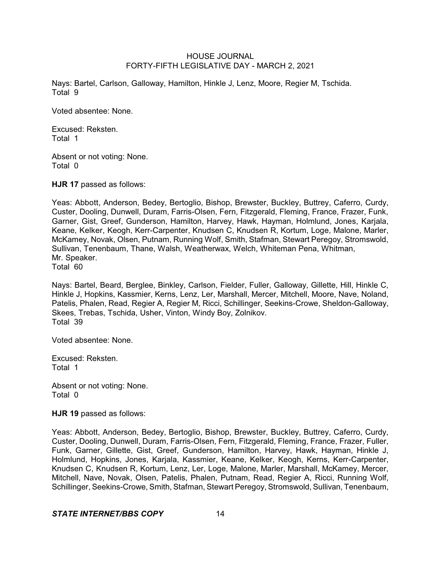Nays: Bartel, Carlson, Galloway, Hamilton, Hinkle J, Lenz, Moore, Regier M, Tschida. Total 9

Voted absentee: None.

Excused: Reksten. Total 1

Absent or not voting: None. Total 0

**HJR 17** passed as follows:

Yeas: Abbott, Anderson, Bedey, Bertoglio, Bishop, Brewster, Buckley, Buttrey, Caferro, Curdy, Custer, Dooling, Dunwell, Duram, Farris-Olsen, Fern, Fitzgerald, Fleming, France, Frazer, Funk, Garner, Gist, Greef, Gunderson, Hamilton, Harvey, Hawk, Hayman, Holmlund, Jones, Karjala, Keane, Kelker, Keogh, Kerr-Carpenter, Knudsen C, Knudsen R, Kortum, Loge, Malone, Marler, McKamey, Novak, Olsen, Putnam, Running Wolf, Smith, Stafman, Stewart Peregoy, Stromswold, Sullivan, Tenenbaum, Thane, Walsh, Weatherwax, Welch, Whiteman Pena, Whitman, Mr. Speaker.

Total 60

Nays: Bartel, Beard, Berglee, Binkley, Carlson, Fielder, Fuller, Galloway, Gillette, Hill, Hinkle C, Hinkle J, Hopkins, Kassmier, Kerns, Lenz, Ler, Marshall, Mercer, Mitchell, Moore, Nave, Noland, Patelis, Phalen, Read, Regier A, Regier M, Ricci, Schillinger, Seekins-Crowe, Sheldon-Galloway, Skees, Trebas, Tschida, Usher, Vinton, Windy Boy, Zolnikov. Total 39

Voted absentee: None.

Excused: Reksten. Total 1

Absent or not voting: None. Total 0

**HJR 19** passed as follows:

Yeas: Abbott, Anderson, Bedey, Bertoglio, Bishop, Brewster, Buckley, Buttrey, Caferro, Curdy, Custer, Dooling, Dunwell, Duram, Farris-Olsen, Fern, Fitzgerald, Fleming, France, Frazer, Fuller, Funk, Garner, Gillette, Gist, Greef, Gunderson, Hamilton, Harvey, Hawk, Hayman, Hinkle J, Holmlund, Hopkins, Jones, Karjala, Kassmier, Keane, Kelker, Keogh, Kerns, Kerr-Carpenter, Knudsen C, Knudsen R, Kortum, Lenz, Ler, Loge, Malone, Marler, Marshall, McKamey, Mercer, Mitchell, Nave, Novak, Olsen, Patelis, Phalen, Putnam, Read, Regier A, Ricci, Running Wolf, Schillinger, Seekins-Crowe, Smith, Stafman, Stewart Peregoy, Stromswold, Sullivan, Tenenbaum,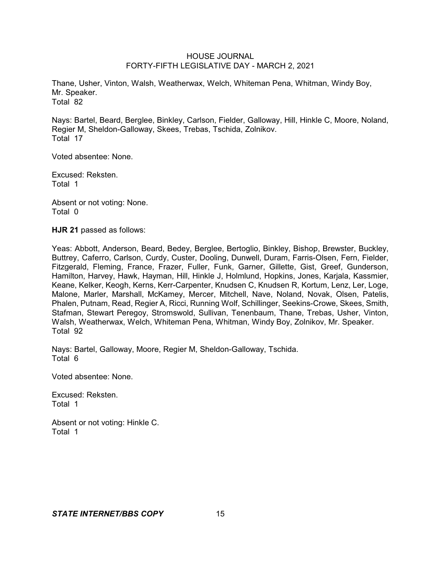Thane, Usher, Vinton, Walsh, Weatherwax, Welch, Whiteman Pena, Whitman, Windy Boy, Mr. Speaker. Total 82

Nays: Bartel, Beard, Berglee, Binkley, Carlson, Fielder, Galloway, Hill, Hinkle C, Moore, Noland, Regier M, Sheldon-Galloway, Skees, Trebas, Tschida, Zolnikov. Total 17

Voted absentee: None.

Excused: Reksten. Total 1

Absent or not voting: None. Total 0

**HJR 21** passed as follows:

Yeas: Abbott, Anderson, Beard, Bedey, Berglee, Bertoglio, Binkley, Bishop, Brewster, Buckley, Buttrey, Caferro, Carlson, Curdy, Custer, Dooling, Dunwell, Duram, Farris-Olsen, Fern, Fielder, Fitzgerald, Fleming, France, Frazer, Fuller, Funk, Garner, Gillette, Gist, Greef, Gunderson, Hamilton, Harvey, Hawk, Hayman, Hill, Hinkle J, Holmlund, Hopkins, Jones, Karjala, Kassmier, Keane, Kelker, Keogh, Kerns, Kerr-Carpenter, Knudsen C, Knudsen R, Kortum, Lenz, Ler, Loge, Malone, Marler, Marshall, McKamey, Mercer, Mitchell, Nave, Noland, Novak, Olsen, Patelis, Phalen, Putnam, Read, Regier A, Ricci, Running Wolf, Schillinger, Seekins-Crowe, Skees, Smith, Stafman, Stewart Peregoy, Stromswold, Sullivan, Tenenbaum, Thane, Trebas, Usher, Vinton, Walsh, Weatherwax, Welch, Whiteman Pena, Whitman, Windy Boy, Zolnikov, Mr. Speaker. Total 92

Nays: Bartel, Galloway, Moore, Regier M, Sheldon-Galloway, Tschida. Total 6

Voted absentee: None.

Excused: Reksten. Total 1

Absent or not voting: Hinkle C. Total 1